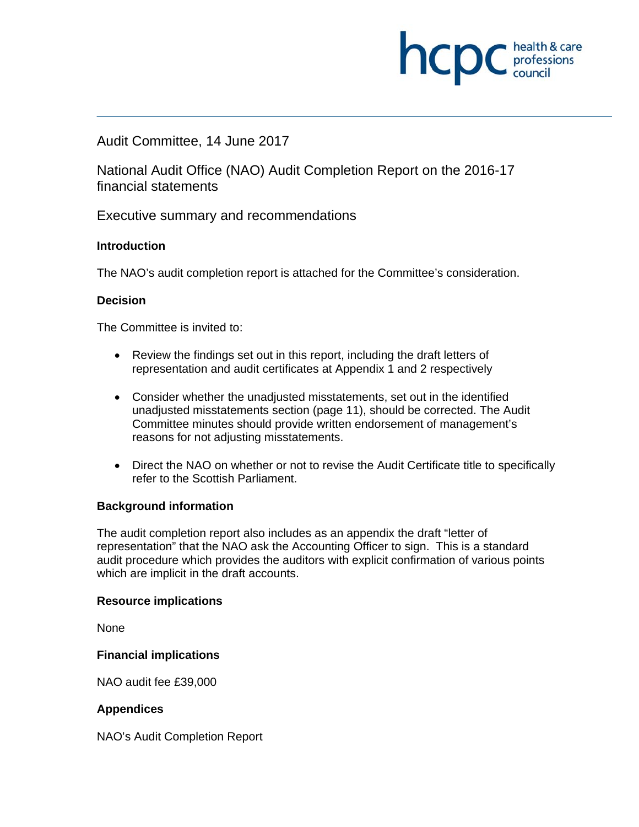# **INCID** C health & care

#### Audit Committee, 14 June 2017

National Audit Office (NAO) Audit Completion Report on the 2016-17 financial statements

Executive summary and recommendations

#### **Introduction**

The NAO's audit completion report is attached for the Committee's consideration.

#### **Decision**

The Committee is invited to:

- Review the findings set out in this report, including the draft letters of representation and audit certificates at Appendix 1 and 2 respectively
- Consider whether the unadjusted misstatements, set out in the identified unadjusted misstatements section (page 11), should be corrected. The Audit Committee minutes should provide written endorsement of management's reasons for not adjusting misstatements.
- Direct the NAO on whether or not to revise the Audit Certificate title to specifically refer to the Scottish Parliament.

#### **Background information**

The audit completion report also includes as an appendix the draft "letter of representation" that the NAO ask the Accounting Officer to sign. This is a standard audit procedure which provides the auditors with explicit confirmation of various points which are implicit in the draft accounts.

#### **Resource implications**

None

#### **Financial implications**

NAO audit fee £39,000

#### **Appendices**

NAO's Audit Completion Report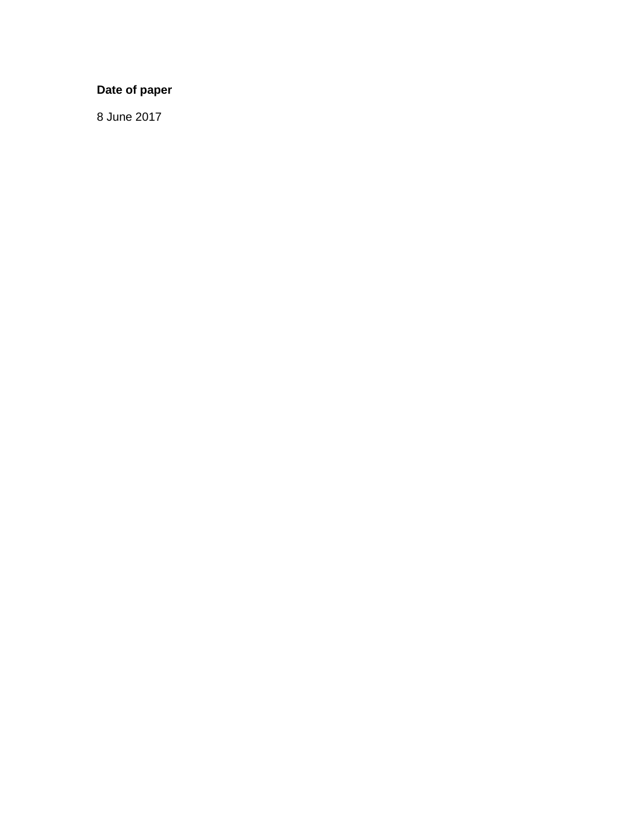#### **Date of paper**

8 June 2017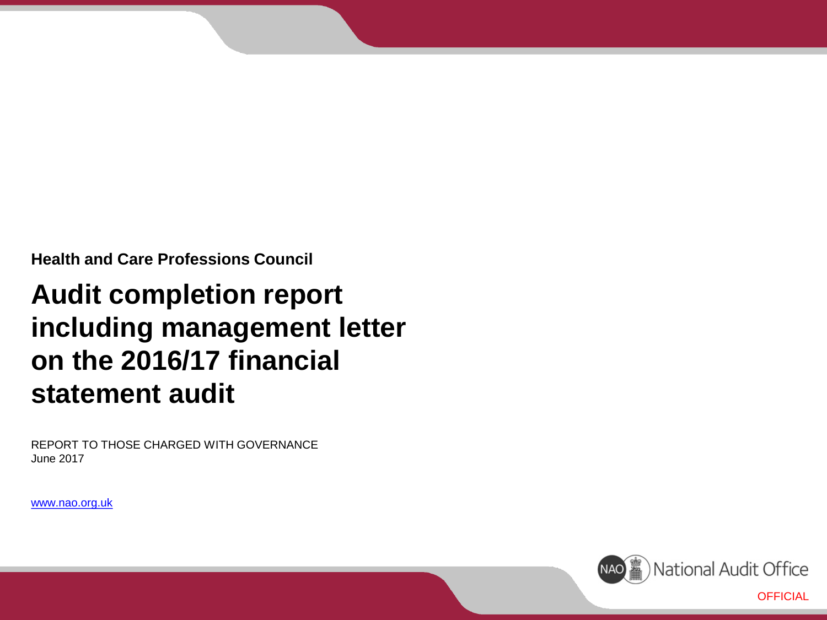**Health and Care Professions Council**

## **Audit completion report including management letter on the 2016/17 financial statement audit**

REPORT TO THOSE CHARGED WITH GOVERNANCE June 2017

www.nao.org.uk

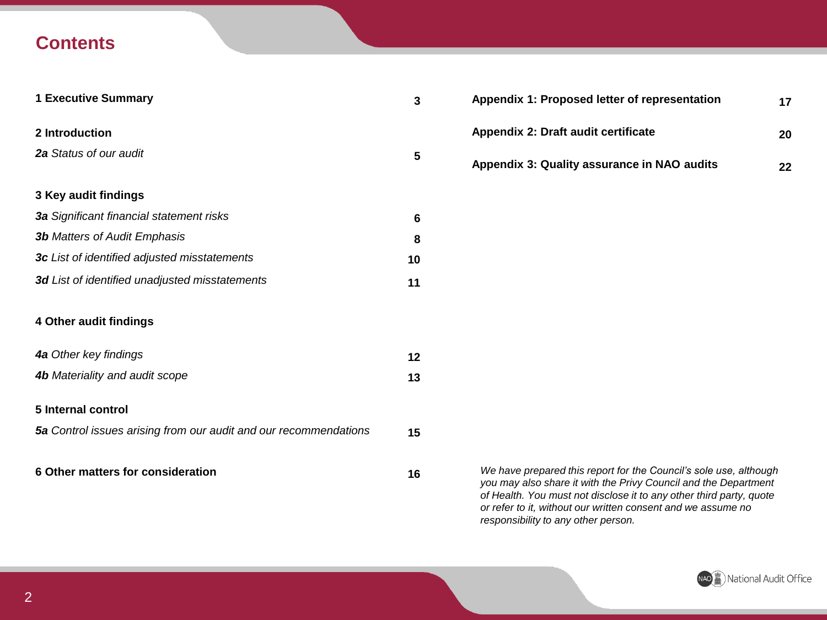### **Contents**

| <b>1 Executive Summary</b>                                       | 3  |
|------------------------------------------------------------------|----|
| 2 Introduction                                                   |    |
| <b>2a</b> Status of our audit                                    | 5  |
| 3 Key audit findings                                             |    |
| 3a Significant financial statement risks                         | 6  |
| <b>3b</b> Matters of Audit Emphasis                              | 8  |
| 3c List of identified adjusted misstatements                     | 10 |
| 3d List of identified unadjusted misstatements                   | 11 |
| 4 Other audit findings                                           |    |
| 4a Other key findings                                            | 12 |
| <b>4b</b> Materiality and audit scope                            | 13 |
| 5 Internal control                                               |    |
| 5a Control issues arising from our audit and our recommendations | 15 |
| 6 Other matters for consideration                                | 16 |

| Appendix 1: Proposed letter of representation | 17 |
|-----------------------------------------------|----|
| Appendix 2: Draft audit certificate           | 20 |
| Appendix 3: Quality assurance in NAO audits   | 22 |

*We have prepared this report for the Council's sole use, although you may also share it with the Privy Council and the Department of Health. You must not disclose it to any other third party, quote or refer to it, without our written consent and we assume no responsibility to any other person.*

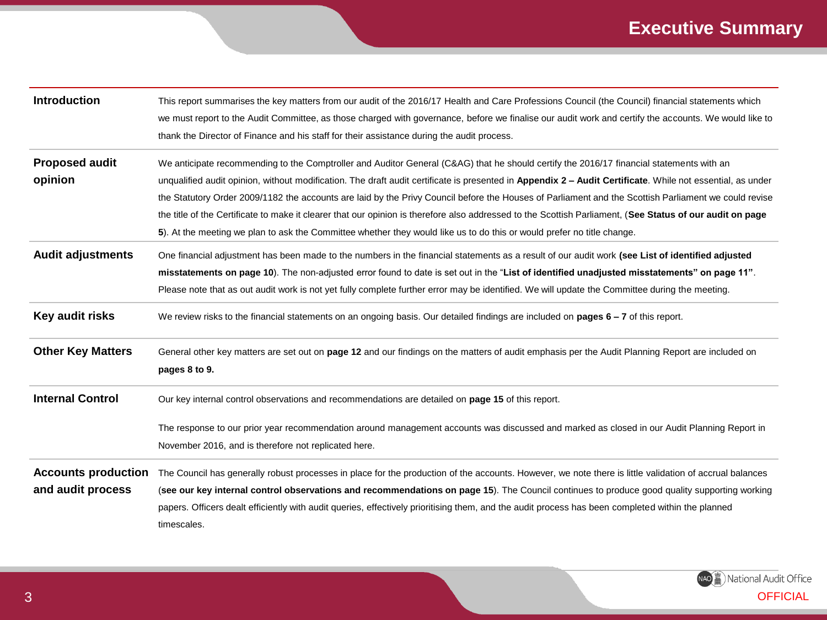## **Executive Summary**

| <b>Introduction</b>                             | This report summarises the key matters from our audit of the 2016/17 Health and Care Professions Council (the Council) financial statements which<br>we must report to the Audit Committee, as those charged with governance, before we finalise our audit work and certify the accounts. We would like to<br>thank the Director of Finance and his staff for their assistance during the audit process.                                                                                                                                                                                                                                                                                                                                              |
|-------------------------------------------------|-------------------------------------------------------------------------------------------------------------------------------------------------------------------------------------------------------------------------------------------------------------------------------------------------------------------------------------------------------------------------------------------------------------------------------------------------------------------------------------------------------------------------------------------------------------------------------------------------------------------------------------------------------------------------------------------------------------------------------------------------------|
| <b>Proposed audit</b><br>opinion                | We anticipate recommending to the Comptroller and Auditor General (C&AG) that he should certify the 2016/17 financial statements with an<br>unqualified audit opinion, without modification. The draft audit certificate is presented in Appendix 2 - Audit Certificate. While not essential, as under<br>the Statutory Order 2009/1182 the accounts are laid by the Privy Council before the Houses of Parliament and the Scottish Parliament we could revise<br>the title of the Certificate to make it clearer that our opinion is therefore also addressed to the Scottish Parliament, (See Status of our audit on page<br>5). At the meeting we plan to ask the Committee whether they would like us to do this or would prefer no title change. |
| <b>Audit adjustments</b>                        | One financial adjustment has been made to the numbers in the financial statements as a result of our audit work (see List of identified adjusted<br>misstatements on page 10). The non-adjusted error found to date is set out in the "List of identified unadjusted misstatements" on page 11".<br>Please note that as out audit work is not yet fully complete further error may be identified. We will update the Committee during the meeting.                                                                                                                                                                                                                                                                                                    |
| Key audit risks                                 | We review risks to the financial statements on an ongoing basis. Our detailed findings are included on <b>pages <math>6 - 7</math></b> of this report.                                                                                                                                                                                                                                                                                                                                                                                                                                                                                                                                                                                                |
| <b>Other Key Matters</b>                        | General other key matters are set out on page 12 and our findings on the matters of audit emphasis per the Audit Planning Report are included on<br>pages 8 to 9.                                                                                                                                                                                                                                                                                                                                                                                                                                                                                                                                                                                     |
| <b>Internal Control</b>                         | Our key internal control observations and recommendations are detailed on page 15 of this report.                                                                                                                                                                                                                                                                                                                                                                                                                                                                                                                                                                                                                                                     |
|                                                 | The response to our prior year recommendation around management accounts was discussed and marked as closed in our Audit Planning Report in<br>November 2016, and is therefore not replicated here.                                                                                                                                                                                                                                                                                                                                                                                                                                                                                                                                                   |
| <b>Accounts production</b><br>and audit process | The Council has generally robust processes in place for the production of the accounts. However, we note there is little validation of accrual balances<br>(see our key internal control observations and recommendations on page 15). The Council continues to produce good quality supporting working<br>papers. Officers dealt efficiently with audit queries, effectively prioritising them, and the audit process has been completed within the planned<br>timescales.                                                                                                                                                                                                                                                                           |

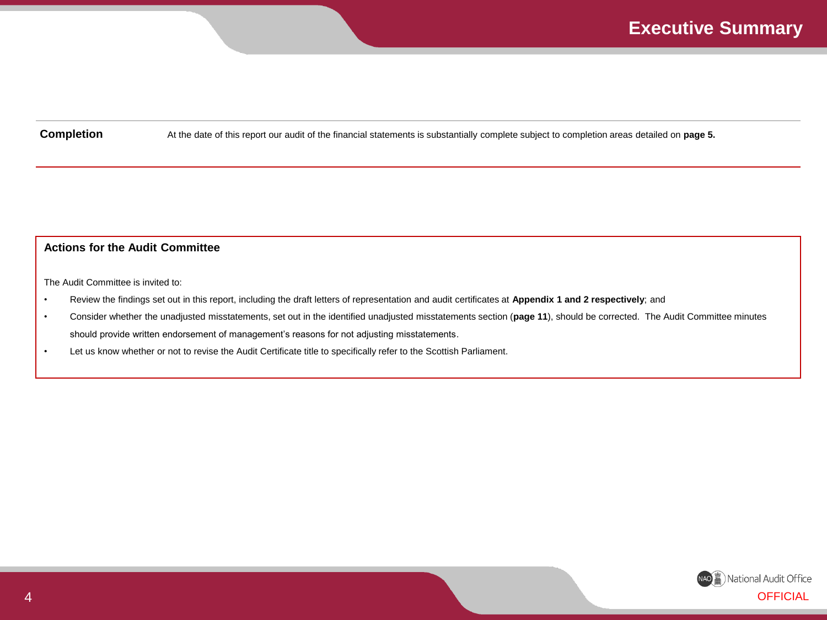**Completion** At the date of this report our audit of the financial statements is substantially complete subject to completion areas detailed on **page 5.**

#### **Actions for the Audit Committee**

The Audit Committee is invited to:

- Review the findings set out in this report, including the draft letters of representation and audit certificates at **Appendix 1 and 2 respectively**; and
- Consider whether the unadjusted misstatements, set out in the identified unadjusted misstatements section (**page 11**), should be corrected. The Audit Committee minutes should provide written endorsement of management's reasons for not adjusting misstatements.
- Let us know whether or not to revise the Audit Certificate title to specifically refer to the Scottish Parliament.

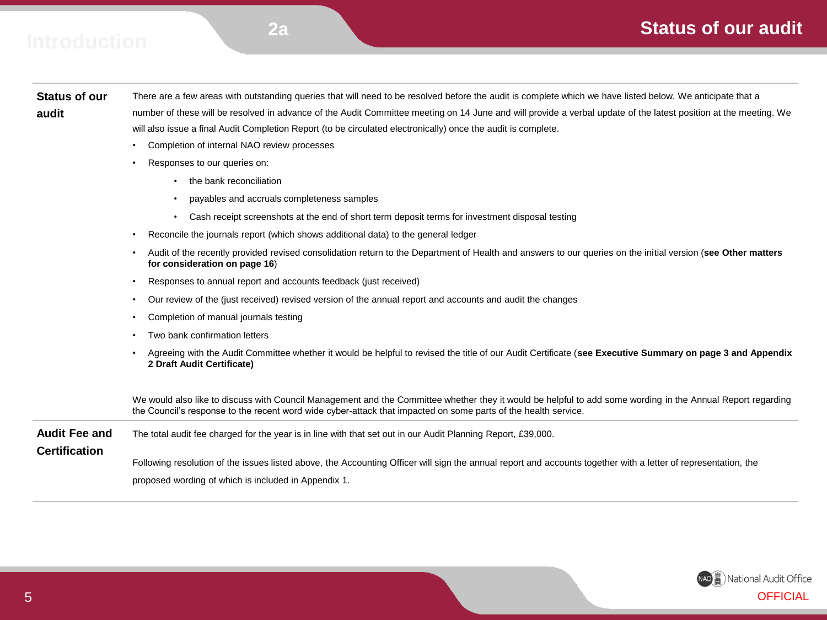### **Status of our audit**

## **R 2a Introduction**

#### **Status of our audit**

There are a few areas with outstanding queries that will need to be resolved before the audit is complete which we have listed below. We anticipate that a number of these will be resolved in advance of the Audit Committee meeting on 14 June and will provide a verbal update of the latest position at the meeting. We will also issue a final Audit Completion Report (to be circulated electronically) once the audit is complete.

- Completion of internal NAO review processes
- Responses to our queries on:
	- the bank reconciliation
	- payables and accruals completeness samples
	- Cash receipt screenshots at the end of short term deposit terms for investment disposal testing
- Reconcile the journals report (which shows additional data) to the general ledger
- Audit of the recently provided revised consolidation return to the Department of Health and answers to our queries on the initial version (**see Other matters for consideration on page 16**)
- Responses to annual report and accounts feedback (just received)
- Our review of the (just received) revised version of the annual report and accounts and audit the changes
- Completion of manual journals testing
- Two bank confirmation letters
- Agreeing with the Audit Committee whether it would be helpful to revised the title of our Audit Certificate (**see Executive Summary on page 3 and Appendix 2 Draft Audit Certificate)**

We would also like to discuss with Council Management and the Committee whether they it would be helpful to add some wording in the Annual Report regarding the Council's response to the recent word wide cyber-attack that impacted on some parts of the health service.

| <b>Audit Fee and</b> | The total audit fee charged for the year is in line with that set out in our Audit Planning Report, £39,000.                                                   |  |  |
|----------------------|----------------------------------------------------------------------------------------------------------------------------------------------------------------|--|--|
| <b>Certification</b> |                                                                                                                                                                |  |  |
|                      | Following resolution of the issues listed above, the Accounting Officer will sign the annual report and accounts together with a letter of representation, the |  |  |
|                      | proposed wording of which is included in Appendix 1.                                                                                                           |  |  |

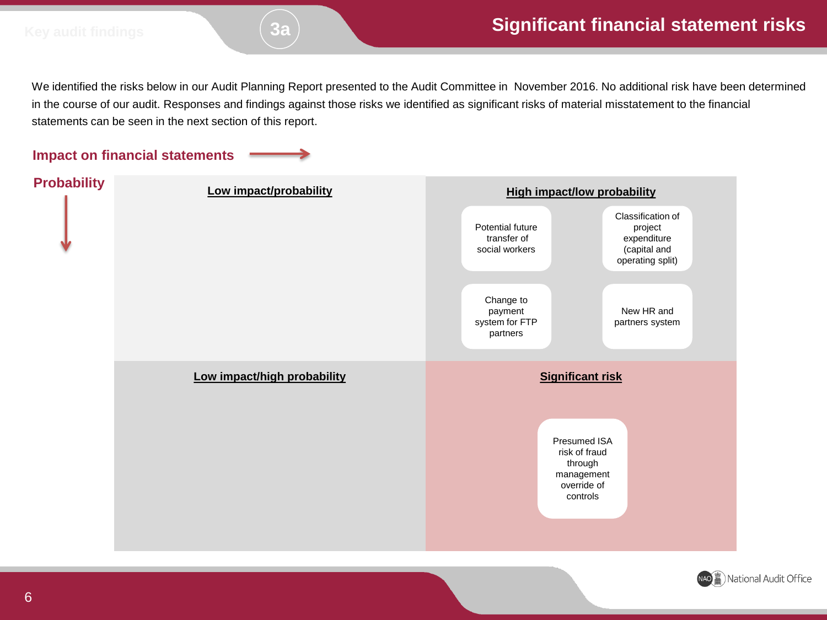We identified the risks below in our Audit Planning Report presented to the Audit Committee in November 2016. No additional risk have been determined in the course of our audit. Responses and findings against those risks we identified as significant risks of material misstatement to the financial statements can be seen in the next section of this report.

#### **Impact on financial statements**



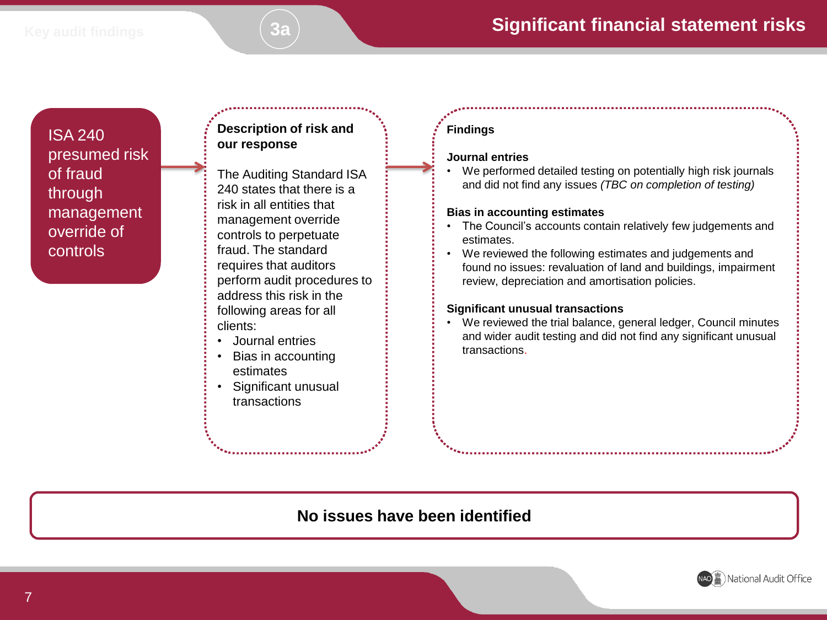ISA 240 presumed risk of fraud through management override of controls

#### **Description of risk and our response**

The Auditing Standard ISA 240 states that there is a risk in all entities that management override controls to perpetuate fraud. The standard requires that auditors perform audit procedures to address this risk in the following areas for all clients:

- Journal entries
- Bias in accounting estimates
- Significant unusual transactions

#### **Findings**

#### **Journal entries**

• We performed detailed testing on potentially high risk journals and did not find any issues *(TBC on completion of testing)*

#### **Bias in accounting estimates**

- The Council's accounts contain relatively few judgements and estimates.
- We reviewed the following estimates and judgements and found no issues: revaluation of land and buildings, impairment review, depreciation and amortisation policies.

#### **Significant unusual transactions**

• We reviewed the trial balance, general ledger, Council minutes and wider audit testing and did not find any significant unusual transactions.

### **No issues have been identified**

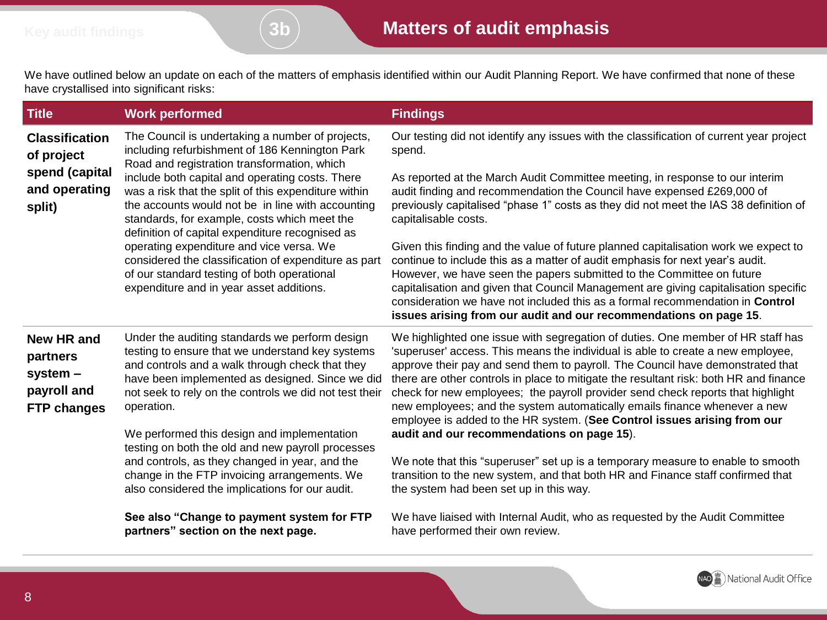We have outlined below an update on each of the matters of emphasis identified within our Audit Planning Report. We have confirmed that none of these have crystallised into significant risks:

| <b>Title</b>                                                                   | <b>Work performed</b>                                                                                                                                                                                                                                                                                                                                                                | <b>Findings</b>                                                                                                                                                                                                                                                                                                                                                                                                                                                                                                                                                                                                                         |
|--------------------------------------------------------------------------------|--------------------------------------------------------------------------------------------------------------------------------------------------------------------------------------------------------------------------------------------------------------------------------------------------------------------------------------------------------------------------------------|-----------------------------------------------------------------------------------------------------------------------------------------------------------------------------------------------------------------------------------------------------------------------------------------------------------------------------------------------------------------------------------------------------------------------------------------------------------------------------------------------------------------------------------------------------------------------------------------------------------------------------------------|
| <b>Classification</b><br>of project                                            | The Council is undertaking a number of projects,<br>including refurbishment of 186 Kennington Park<br>Road and registration transformation, which                                                                                                                                                                                                                                    | Our testing did not identify any issues with the classification of current year project<br>spend.                                                                                                                                                                                                                                                                                                                                                                                                                                                                                                                                       |
| spend (capital<br>and operating<br>split)                                      | include both capital and operating costs. There<br>was a risk that the split of this expenditure within<br>the accounts would not be in line with accounting<br>standards, for example, costs which meet the<br>definition of capital expenditure recognised as                                                                                                                      | As reported at the March Audit Committee meeting, in response to our interim<br>audit finding and recommendation the Council have expensed £269,000 of<br>previously capitalised "phase 1" costs as they did not meet the IAS 38 definition of<br>capitalisable costs.                                                                                                                                                                                                                                                                                                                                                                  |
|                                                                                | operating expenditure and vice versa. We<br>considered the classification of expenditure as part<br>of our standard testing of both operational<br>expenditure and in year asset additions.                                                                                                                                                                                          | Given this finding and the value of future planned capitalisation work we expect to<br>continue to include this as a matter of audit emphasis for next year's audit.<br>However, we have seen the papers submitted to the Committee on future<br>capitalisation and given that Council Management are giving capitalisation specific<br>consideration we have not included this as a formal recommendation in Control<br>issues arising from our audit and our recommendations on page 15.                                                                                                                                              |
| <b>New HR and</b><br>partners<br>system -<br>payroll and<br><b>FTP changes</b> | Under the auditing standards we perform design<br>testing to ensure that we understand key systems<br>and controls and a walk through check that they<br>have been implemented as designed. Since we did<br>not seek to rely on the controls we did not test their<br>operation.<br>We performed this design and implementation<br>testing on both the old and new payroll processes | We highlighted one issue with segregation of duties. One member of HR staff has<br>'superuser' access. This means the individual is able to create a new employee,<br>approve their pay and send them to payroll. The Council have demonstrated that<br>there are other controls in place to mitigate the resultant risk: both HR and finance<br>check for new employees; the payroll provider send check reports that highlight<br>new employees; and the system automatically emails finance whenever a new<br>employee is added to the HR system. (See Control issues arising from our<br>audit and our recommendations on page 15). |
|                                                                                | and controls, as they changed in year, and the<br>change in the FTP invoicing arrangements. We<br>also considered the implications for our audit.                                                                                                                                                                                                                                    | We note that this "superuser" set up is a temporary measure to enable to smooth<br>transition to the new system, and that both HR and Finance staff confirmed that<br>the system had been set up in this way.                                                                                                                                                                                                                                                                                                                                                                                                                           |
|                                                                                | See also "Change to payment system for FTP<br>partners" section on the next page.                                                                                                                                                                                                                                                                                                    | We have liaised with Internal Audit, who as requested by the Audit Committee<br>have performed their own review.                                                                                                                                                                                                                                                                                                                                                                                                                                                                                                                        |

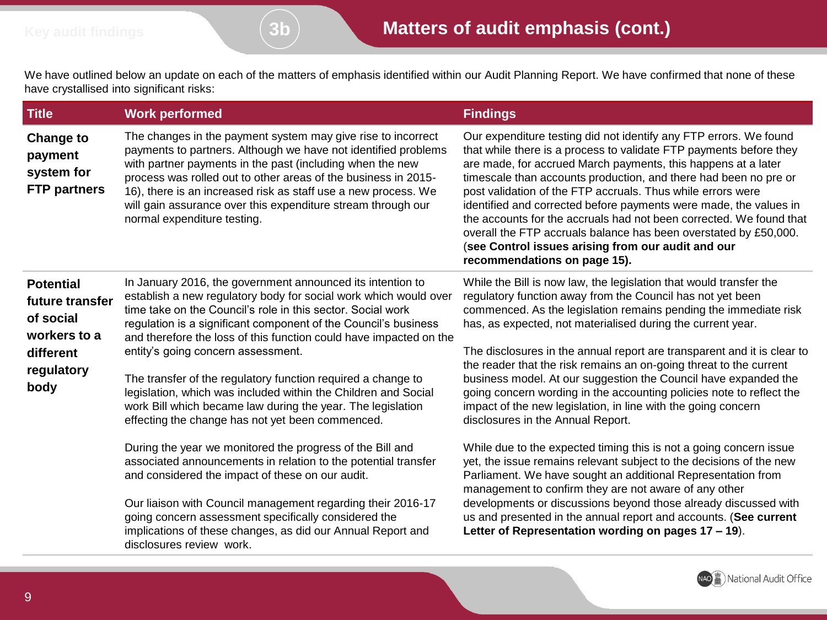We have outlined below an update on each of the matters of emphasis identified within our Audit Planning Report. We have confirmed that none of these have crystallised into significant risks:

| <b>Title</b>                                                                                        | <b>Work performed</b>                                                                                                                                                                                                                                                                                                                                                                                                                                                                                                                                                                                                                                                                                                                                                                                                                                                                                                                                                                                                                  | <b>Findings</b>                                                                                                                                                                                                                                                                                                                                                                                                                                                                                                                                                                                                                                                                                                                                                                                                                                                                                                                                                                                                                                                                                                                           |
|-----------------------------------------------------------------------------------------------------|----------------------------------------------------------------------------------------------------------------------------------------------------------------------------------------------------------------------------------------------------------------------------------------------------------------------------------------------------------------------------------------------------------------------------------------------------------------------------------------------------------------------------------------------------------------------------------------------------------------------------------------------------------------------------------------------------------------------------------------------------------------------------------------------------------------------------------------------------------------------------------------------------------------------------------------------------------------------------------------------------------------------------------------|-------------------------------------------------------------------------------------------------------------------------------------------------------------------------------------------------------------------------------------------------------------------------------------------------------------------------------------------------------------------------------------------------------------------------------------------------------------------------------------------------------------------------------------------------------------------------------------------------------------------------------------------------------------------------------------------------------------------------------------------------------------------------------------------------------------------------------------------------------------------------------------------------------------------------------------------------------------------------------------------------------------------------------------------------------------------------------------------------------------------------------------------|
| <b>Change to</b><br>payment<br>system for<br><b>FTP partners</b>                                    | The changes in the payment system may give rise to incorrect<br>payments to partners. Although we have not identified problems<br>with partner payments in the past (including when the new<br>process was rolled out to other areas of the business in 2015-<br>16), there is an increased risk as staff use a new process. We<br>will gain assurance over this expenditure stream through our<br>normal expenditure testing.                                                                                                                                                                                                                                                                                                                                                                                                                                                                                                                                                                                                         | Our expenditure testing did not identify any FTP errors. We found<br>that while there is a process to validate FTP payments before they<br>are made, for accrued March payments, this happens at a later<br>timescale than accounts production, and there had been no pre or<br>post validation of the FTP accruals. Thus while errors were<br>identified and corrected before payments were made, the values in<br>the accounts for the accruals had not been corrected. We found that<br>overall the FTP accruals balance has been overstated by £50,000.<br>(see Control issues arising from our audit and our<br>recommendations on page 15).                                                                                                                                                                                                                                                                                                                                                                                                                                                                                         |
| <b>Potential</b><br>future transfer<br>of social<br>workers to a<br>different<br>regulatory<br>body | In January 2016, the government announced its intention to<br>establish a new regulatory body for social work which would over<br>time take on the Council's role in this sector. Social work<br>regulation is a significant component of the Council's business<br>and therefore the loss of this function could have impacted on the<br>entity's going concern assessment.<br>The transfer of the regulatory function required a change to<br>legislation, which was included within the Children and Social<br>work Bill which became law during the year. The legislation<br>effecting the change has not yet been commenced.<br>During the year we monitored the progress of the Bill and<br>associated announcements in relation to the potential transfer<br>and considered the impact of these on our audit.<br>Our liaison with Council management regarding their 2016-17<br>going concern assessment specifically considered the<br>implications of these changes, as did our Annual Report and<br>disclosures review work. | While the Bill is now law, the legislation that would transfer the<br>regulatory function away from the Council has not yet been<br>commenced. As the legislation remains pending the immediate risk<br>has, as expected, not materialised during the current year.<br>The disclosures in the annual report are transparent and it is clear to<br>the reader that the risk remains an on-going threat to the current<br>business model. At our suggestion the Council have expanded the<br>going concern wording in the accounting policies note to reflect the<br>impact of the new legislation, in line with the going concern<br>disclosures in the Annual Report.<br>While due to the expected timing this is not a going concern issue<br>yet, the issue remains relevant subject to the decisions of the new<br>Parliament. We have sought an additional Representation from<br>management to confirm they are not aware of any other<br>developments or discussions beyond those already discussed with<br>us and presented in the annual report and accounts. (See current<br>Letter of Representation wording on pages 17 - 19). |

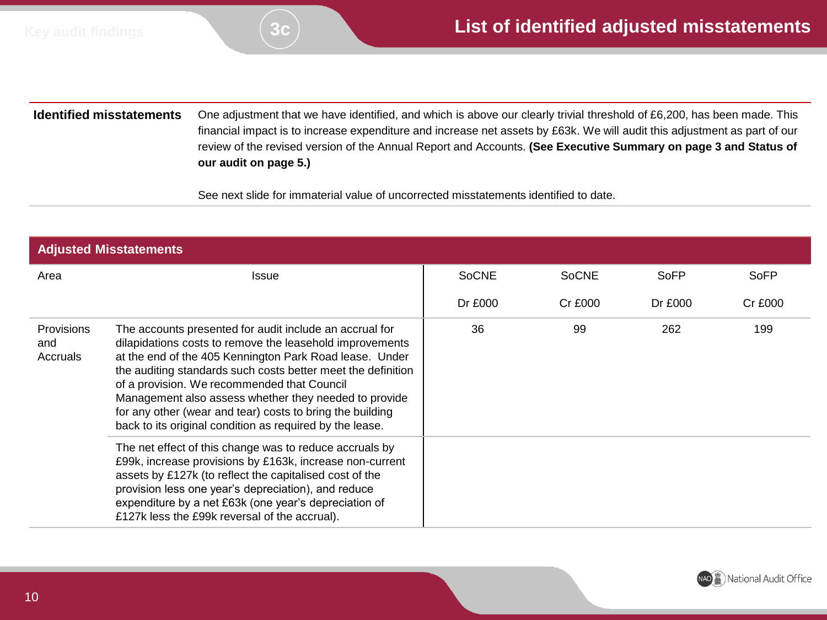**Identified misstatements** One adjustment that we have identified, and which is above our clearly trivial threshold of £6,200, has been made. This financial impact is to increase expenditure and increase net assets by £63k. We will audit this adjustment as part of our review of the revised version of the Annual Report and Accounts. **(See Executive Summary on page 3 and Status of our audit on page 5.)**

See next slide for immaterial value of uncorrected misstatements identified to date.

| <b>Adjusted Misstatements</b>        |                                                                                                                                                                                                                                                                                                                                                                                                                                                                                 |              |              |         |                |
|--------------------------------------|---------------------------------------------------------------------------------------------------------------------------------------------------------------------------------------------------------------------------------------------------------------------------------------------------------------------------------------------------------------------------------------------------------------------------------------------------------------------------------|--------------|--------------|---------|----------------|
| Area                                 | <b>Issue</b>                                                                                                                                                                                                                                                                                                                                                                                                                                                                    | <b>SoCNE</b> | <b>SoCNE</b> | SoFP    | SoFP           |
|                                      |                                                                                                                                                                                                                                                                                                                                                                                                                                                                                 | Dr £000      | Cr £000      | Dr £000 | <b>Cr £000</b> |
| <b>Provisions</b><br>and<br>Accruals | The accounts presented for audit include an accrual for<br>dilapidations costs to remove the leasehold improvements<br>at the end of the 405 Kennington Park Road lease. Under<br>the auditing standards such costs better meet the definition<br>of a provision. We recommended that Council<br>Management also assess whether they needed to provide<br>for any other (wear and tear) costs to bring the building<br>back to its original condition as required by the lease. |              | 99           | 262     | 199            |
|                                      | The net effect of this change was to reduce accruals by<br>£99k, increase provisions by £163k, increase non-current<br>assets by £127k (to reflect the capitalised cost of the<br>provision less one year's depreciation), and reduce<br>expenditure by a net £63k (one year's depreciation of<br>£127k less the £99k reversal of the accrual).                                                                                                                                 |              |              |         |                |

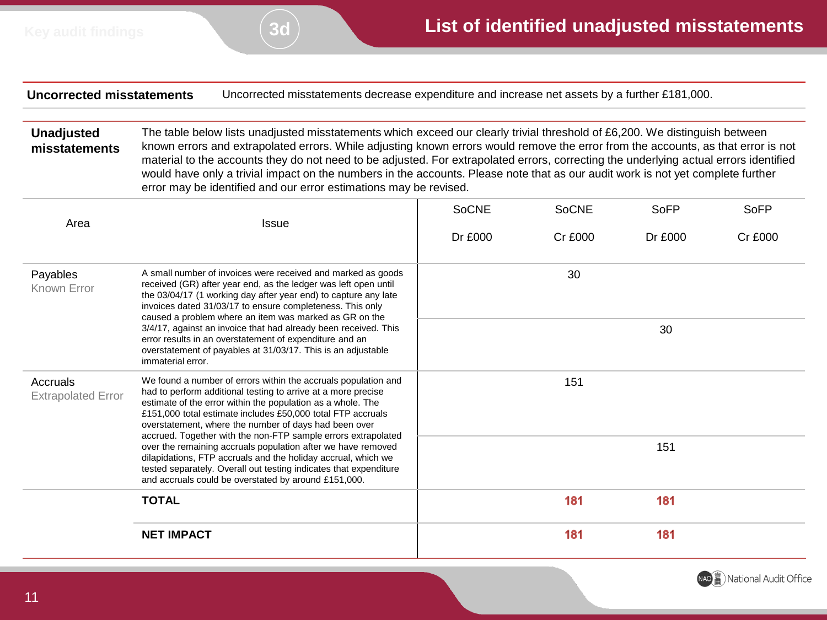**Uncorrected misstatements** Uncorrected misstatements decrease expenditure and increase net assets by a further £181,000.

**Unadjusted misstatements** The table below lists unadjusted misstatements which exceed our clearly trivial threshold of £6,200. We distinguish between known errors and extrapolated errors. While adjusting known errors would remove the error from the accounts, as that error is not material to the accounts they do not need to be adjusted. For extrapolated errors, correcting the underlying actual errors identified would have only a trivial impact on the numbers in the accounts. Please note that as our audit work is not yet complete further error may be identified and our error estimations may be revised.

| Area                                  | <b>Issue</b>                                                                                                                                                                                                                                                                                                                                                                            | <b>SoCNE</b> | <b>SoCNE</b> | <b>SoFP</b> | SoFP           |
|---------------------------------------|-----------------------------------------------------------------------------------------------------------------------------------------------------------------------------------------------------------------------------------------------------------------------------------------------------------------------------------------------------------------------------------------|--------------|--------------|-------------|----------------|
|                                       |                                                                                                                                                                                                                                                                                                                                                                                         | Dr £000      | Cr £000      | Dr £000     | <b>Cr £000</b> |
| Payables<br>Known Error               | A small number of invoices were received and marked as goods<br>received (GR) after year end, as the ledger was left open until<br>the 03/04/17 (1 working day after year end) to capture any late<br>invoices dated 31/03/17 to ensure completeness. This only<br>caused a problem where an item was marked as GR on the                                                               |              | 30           |             |                |
|                                       | 3/4/17, against an invoice that had already been received. This<br>error results in an overstatement of expenditure and an<br>overstatement of payables at 31/03/17. This is an adjustable<br>immaterial error.                                                                                                                                                                         |              |              | 30          |                |
| Accruals<br><b>Extrapolated Error</b> | We found a number of errors within the accruals population and<br>had to perform additional testing to arrive at a more precise<br>estimate of the error within the population as a whole. The<br>£151,000 total estimate includes £50,000 total FTP accruals<br>overstatement, where the number of days had been over<br>accrued. Together with the non-FTP sample errors extrapolated |              | 151          |             |                |
|                                       | over the remaining accruals population after we have removed<br>dilapidations, FTP accruals and the holiday accrual, which we<br>tested separately. Overall out testing indicates that expenditure<br>and accruals could be overstated by around £151,000.                                                                                                                              |              |              | 151         |                |
|                                       | <b>TOTAL</b>                                                                                                                                                                                                                                                                                                                                                                            |              | 181          | 181         |                |
|                                       | <b>NET IMPACT</b>                                                                                                                                                                                                                                                                                                                                                                       |              | 181          | 181         |                |

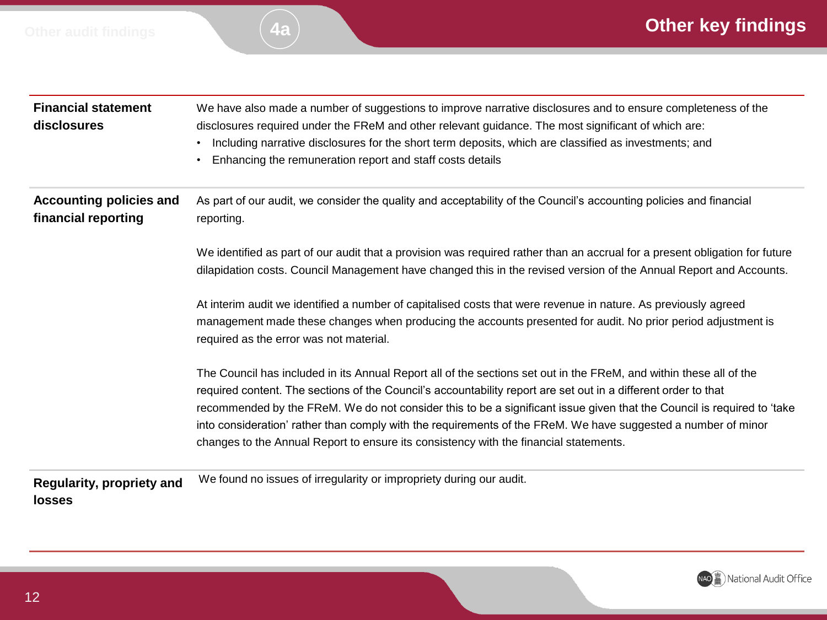

| <b>Financial statement</b><br>disclosures             | We have also made a number of suggestions to improve narrative disclosures and to ensure completeness of the<br>disclosures required under the FReM and other relevant guidance. The most significant of which are:<br>Including narrative disclosures for the short term deposits, which are classified as investments; and<br>$\bullet$<br>Enhancing the remuneration report and staff costs details<br>$\bullet$                                                                                                                                                      |
|-------------------------------------------------------|--------------------------------------------------------------------------------------------------------------------------------------------------------------------------------------------------------------------------------------------------------------------------------------------------------------------------------------------------------------------------------------------------------------------------------------------------------------------------------------------------------------------------------------------------------------------------|
| <b>Accounting policies and</b><br>financial reporting | As part of our audit, we consider the quality and acceptability of the Council's accounting policies and financial<br>reporting.                                                                                                                                                                                                                                                                                                                                                                                                                                         |
|                                                       | We identified as part of our audit that a provision was required rather than an accrual for a present obligation for future<br>dilapidation costs. Council Management have changed this in the revised version of the Annual Report and Accounts.                                                                                                                                                                                                                                                                                                                        |
|                                                       | At interim audit we identified a number of capitalised costs that were revenue in nature. As previously agreed<br>management made these changes when producing the accounts presented for audit. No prior period adjustment is<br>required as the error was not material.                                                                                                                                                                                                                                                                                                |
|                                                       | The Council has included in its Annual Report all of the sections set out in the FReM, and within these all of the<br>required content. The sections of the Council's accountability report are set out in a different order to that<br>recommended by the FReM. We do not consider this to be a significant issue given that the Council is required to 'take<br>into consideration' rather than comply with the requirements of the FReM. We have suggested a number of minor<br>changes to the Annual Report to ensure its consistency with the financial statements. |
| Regularity, propriety and<br><b>losses</b>            | We found no issues of irregularity or impropriety during our audit.                                                                                                                                                                                                                                                                                                                                                                                                                                                                                                      |

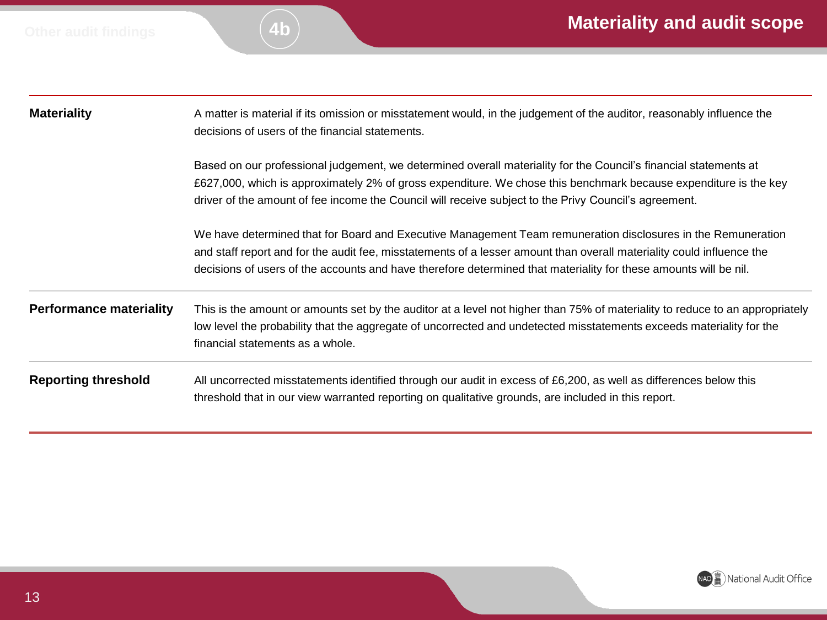| <b>Materiality</b>             | A matter is material if its omission or misstatement would, in the judgement of the auditor, reasonably influence the<br>decisions of users of the financial statements.                                                                                                                                                                                  |  |  |  |
|--------------------------------|-----------------------------------------------------------------------------------------------------------------------------------------------------------------------------------------------------------------------------------------------------------------------------------------------------------------------------------------------------------|--|--|--|
|                                | Based on our professional judgement, we determined overall materiality for the Council's financial statements at<br>£627,000, which is approximately 2% of gross expenditure. We chose this benchmark because expenditure is the key<br>driver of the amount of fee income the Council will receive subject to the Privy Council's agreement.             |  |  |  |
|                                | We have determined that for Board and Executive Management Team remuneration disclosures in the Remuneration<br>and staff report and for the audit fee, misstatements of a lesser amount than overall materiality could influence the<br>decisions of users of the accounts and have therefore determined that materiality for these amounts will be nil. |  |  |  |
| <b>Performance materiality</b> | This is the amount or amounts set by the auditor at a level not higher than 75% of materiality to reduce to an appropriately<br>low level the probability that the aggregate of uncorrected and undetected misstatements exceeds materiality for the<br>financial statements as a whole.                                                                  |  |  |  |
| <b>Reporting threshold</b>     | All uncorrected misstatements identified through our audit in excess of £6,200, as well as differences below this<br>threshold that in our view warranted reporting on qualitative grounds, are included in this report.                                                                                                                                  |  |  |  |

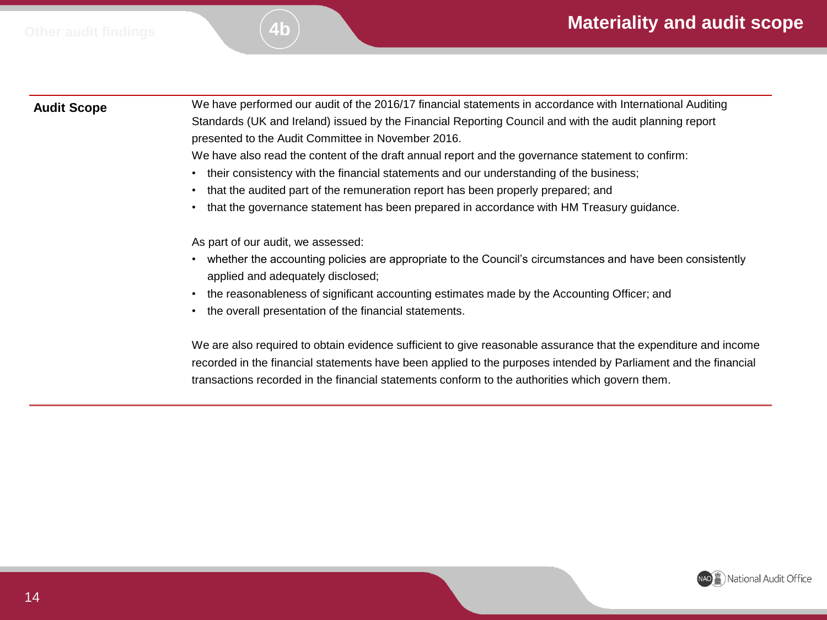**Audit Scope** We have performed our audit of the 2016/17 financial statements in accordance with International Auditing Standards (UK and Ireland) issued by the Financial Reporting Council and with the audit planning report presented to the Audit Committee in November 2016.

We have also read the content of the draft annual report and the governance statement to confirm:

- their consistency with the financial statements and our understanding of the business;
- that the audited part of the remuneration report has been properly prepared; and
- that the governance statement has been prepared in accordance with HM Treasury guidance.

As part of our audit, we assessed:

- whether the accounting policies are appropriate to the Council's circumstances and have been consistently applied and adequately disclosed;
- the reasonableness of significant accounting estimates made by the Accounting Officer; and
- the overall presentation of the financial statements.

We are also required to obtain evidence sufficient to give reasonable assurance that the expenditure and income recorded in the financial statements have been applied to the purposes intended by Parliament and the financial transactions recorded in the financial statements conform to the authorities which govern them.

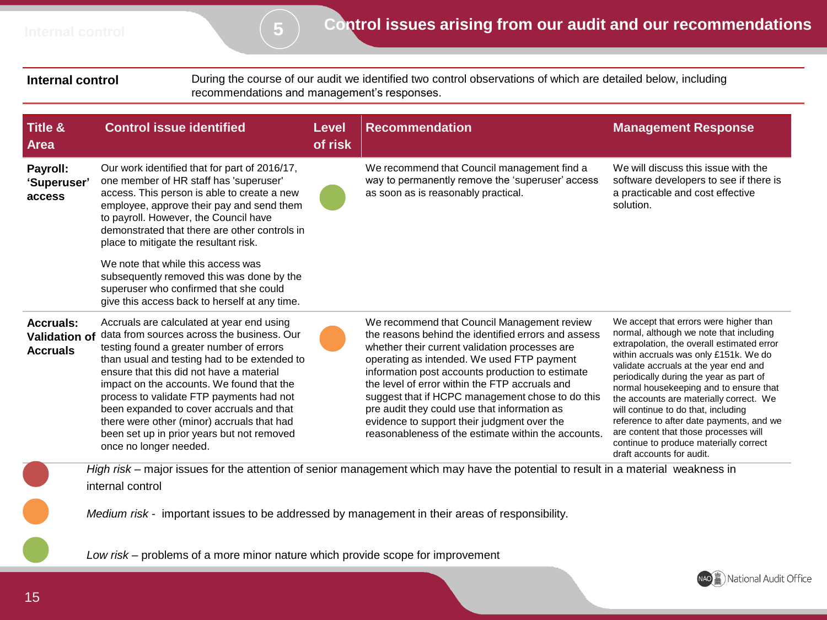**Internal control** During the course of our audit we identified two control observations of which are detailed below, including recommendations and management's responses.

| <b>Title &amp;</b><br><b>Area</b>                           | <b>Control issue identified</b>                                                                                                                                                                                                                                                                                                                                                                                                                                                            | Level<br>of risk | <b>Recommendation</b>                                                                                                                                                                                                                                                                                                                                                                                                                                                                                              | <b>Management Response</b>                                                                                                                                                                                                                                                                                                                                                                                                                                                                                                                           |
|-------------------------------------------------------------|--------------------------------------------------------------------------------------------------------------------------------------------------------------------------------------------------------------------------------------------------------------------------------------------------------------------------------------------------------------------------------------------------------------------------------------------------------------------------------------------|------------------|--------------------------------------------------------------------------------------------------------------------------------------------------------------------------------------------------------------------------------------------------------------------------------------------------------------------------------------------------------------------------------------------------------------------------------------------------------------------------------------------------------------------|------------------------------------------------------------------------------------------------------------------------------------------------------------------------------------------------------------------------------------------------------------------------------------------------------------------------------------------------------------------------------------------------------------------------------------------------------------------------------------------------------------------------------------------------------|
| Payroll:<br>'Superuser'<br>access                           | Our work identified that for part of 2016/17,<br>one member of HR staff has 'superuser'<br>access. This person is able to create a new<br>employee, approve their pay and send them<br>to payroll. However, the Council have<br>demonstrated that there are other controls in<br>place to mitigate the resultant risk.                                                                                                                                                                     |                  | We recommend that Council management find a<br>way to permanently remove the 'superuser' access<br>as soon as is reasonably practical.                                                                                                                                                                                                                                                                                                                                                                             | We will discuss this issue with the<br>software developers to see if there is<br>a practicable and cost effective<br>solution.                                                                                                                                                                                                                                                                                                                                                                                                                       |
|                                                             | We note that while this access was<br>subsequently removed this was done by the<br>superuser who confirmed that she could<br>give this access back to herself at any time.                                                                                                                                                                                                                                                                                                                 |                  |                                                                                                                                                                                                                                                                                                                                                                                                                                                                                                                    |                                                                                                                                                                                                                                                                                                                                                                                                                                                                                                                                                      |
| <b>Accruals:</b><br><b>Validation of</b><br><b>Accruals</b> | Accruals are calculated at year end using<br>data from sources across the business. Our<br>testing found a greater number of errors<br>than usual and testing had to be extended to<br>ensure that this did not have a material<br>impact on the accounts. We found that the<br>process to validate FTP payments had not<br>been expanded to cover accruals and that<br>there were other (minor) accruals that had<br>been set up in prior years but not removed<br>once no longer needed. |                  | We recommend that Council Management review<br>the reasons behind the identified errors and assess<br>whether their current validation processes are<br>operating as intended. We used FTP payment<br>information post accounts production to estimate<br>the level of error within the FTP accruals and<br>suggest that if HCPC management chose to do this<br>pre audit they could use that information as<br>evidence to support their judgment over the<br>reasonableness of the estimate within the accounts. | We accept that errors were higher than<br>normal, although we note that including<br>extrapolation, the overall estimated error<br>within accruals was only £151k. We do<br>validate accruals at the year end and<br>periodically during the year as part of<br>normal housekeeping and to ensure that<br>the accounts are materially correct. We<br>will continue to do that, including<br>reference to after date payments, and we<br>are content that those processes will<br>continue to produce materially correct<br>draft accounts for audit. |
|                                                             | internal control                                                                                                                                                                                                                                                                                                                                                                                                                                                                           |                  | High risk – major issues for the attention of senior management which may have the potential to result in a material weakness in                                                                                                                                                                                                                                                                                                                                                                                   |                                                                                                                                                                                                                                                                                                                                                                                                                                                                                                                                                      |
|                                                             | Medium risk - important issues to be addressed by management in their areas of responsibility.                                                                                                                                                                                                                                                                                                                                                                                             |                  |                                                                                                                                                                                                                                                                                                                                                                                                                                                                                                                    |                                                                                                                                                                                                                                                                                                                                                                                                                                                                                                                                                      |
|                                                             | Low risk – problems of a more minor nature which provide scope for improvement                                                                                                                                                                                                                                                                                                                                                                                                             |                  |                                                                                                                                                                                                                                                                                                                                                                                                                                                                                                                    | $\sqrt{abc}$                                                                                                                                                                                                                                                                                                                                                                                                                                                                                                                                         |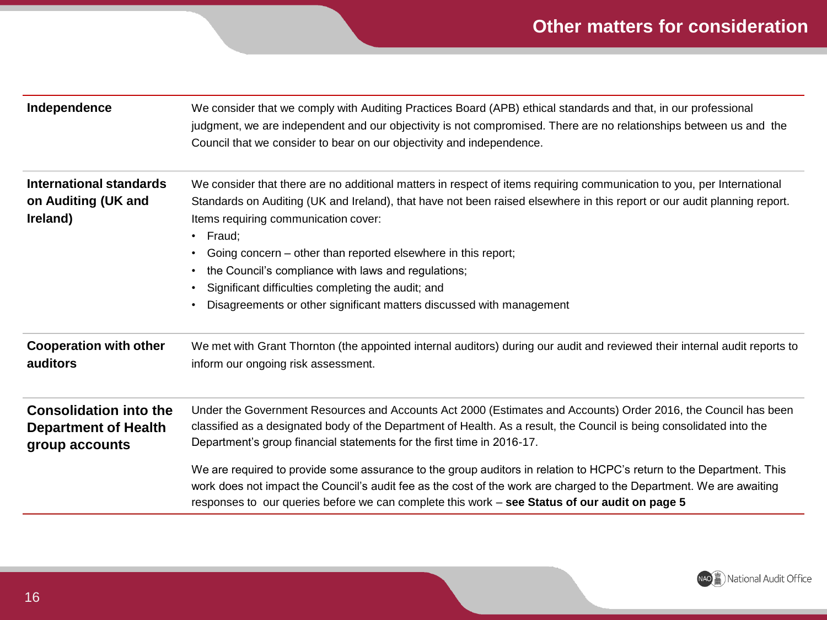## **Other matters for consideration**

| Independence                                                                   | We consider that we comply with Auditing Practices Board (APB) ethical standards and that, in our professional<br>judgment, we are independent and our objectivity is not compromised. There are no relationships between us and the<br>Council that we consider to bear on our objectivity and independence.                                                                                                                                                                                                                                                      |
|--------------------------------------------------------------------------------|--------------------------------------------------------------------------------------------------------------------------------------------------------------------------------------------------------------------------------------------------------------------------------------------------------------------------------------------------------------------------------------------------------------------------------------------------------------------------------------------------------------------------------------------------------------------|
| International standards<br>on Auditing (UK and<br>Ireland)                     | We consider that there are no additional matters in respect of items requiring communication to you, per International<br>Standards on Auditing (UK and Ireland), that have not been raised elsewhere in this report or our audit planning report.<br>Items requiring communication cover:<br>$\cdot$ Fraud;<br>Going concern – other than reported elsewhere in this report;<br>the Council's compliance with laws and regulations;<br>Significant difficulties completing the audit; and<br>Disagreements or other significant matters discussed with management |
| <b>Cooperation with other</b><br>auditors                                      | We met with Grant Thornton (the appointed internal auditors) during our audit and reviewed their internal audit reports to<br>inform our ongoing risk assessment.                                                                                                                                                                                                                                                                                                                                                                                                  |
| <b>Consolidation into the</b><br><b>Department of Health</b><br>group accounts | Under the Government Resources and Accounts Act 2000 (Estimates and Accounts) Order 2016, the Council has been<br>classified as a designated body of the Department of Health. As a result, the Council is being consolidated into the<br>Department's group financial statements for the first time in 2016-17.<br>We are required to provide some assurance to the group auditors in relation to HCPC's return to the Department. This<br>work does not impact the Council's audit fee as the cost of the work are charged to the Department. We are awaiting    |
|                                                                                | responses to our queries before we can complete this work - see Status of our audit on page 5                                                                                                                                                                                                                                                                                                                                                                                                                                                                      |

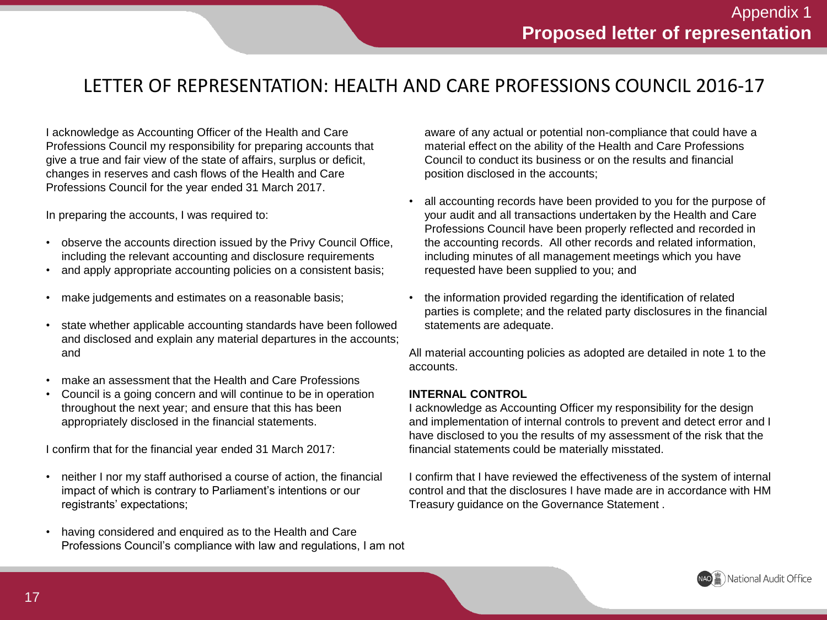## LETTER OF REPRESENTATION: HEALTH AND CARE PROFESSIONS COUNCIL 2016-17

I acknowledge as Accounting Officer of the Health and Care Professions Council my responsibility for preparing accounts that give a true and fair view of the state of affairs, surplus or deficit, changes in reserves and cash flows of the Health and Care Professions Council for the year ended 31 March 2017.

In preparing the accounts, I was required to:

- observe the accounts direction issued by the Privy Council Office, including the relevant accounting and disclosure requirements
- and apply appropriate accounting policies on a consistent basis;
- make judgements and estimates on a reasonable basis;
- state whether applicable accounting standards have been followed and disclosed and explain any material departures in the accounts; and
- make an assessment that the Health and Care Professions
- Council is a going concern and will continue to be in operation throughout the next year; and ensure that this has been appropriately disclosed in the financial statements.

I confirm that for the financial year ended 31 March 2017:

- neither I nor my staff authorised a course of action, the financial impact of which is contrary to Parliament's intentions or our registrants' expectations;
- having considered and enquired as to the Health and Care Professions Council's compliance with law and regulations, I am not

aware of any actual or potential non-compliance that could have a material effect on the ability of the Health and Care Professions Council to conduct its business or on the results and financial position disclosed in the accounts;

- all accounting records have been provided to you for the purpose of your audit and all transactions undertaken by the Health and Care Professions Council have been properly reflected and recorded in the accounting records. All other records and related information, including minutes of all management meetings which you have requested have been supplied to you; and
- the information provided regarding the identification of related parties is complete; and the related party disclosures in the financial statements are adequate.

All material accounting policies as adopted are detailed in note 1 to the accounts.

#### **INTERNAL CONTROL**

I acknowledge as Accounting Officer my responsibility for the design and implementation of internal controls to prevent and detect error and I have disclosed to you the results of my assessment of the risk that the financial statements could be materially misstated.

I confirm that I have reviewed the effectiveness of the system of internal control and that the disclosures I have made are in accordance with HM Treasury guidance on the Governance Statement .

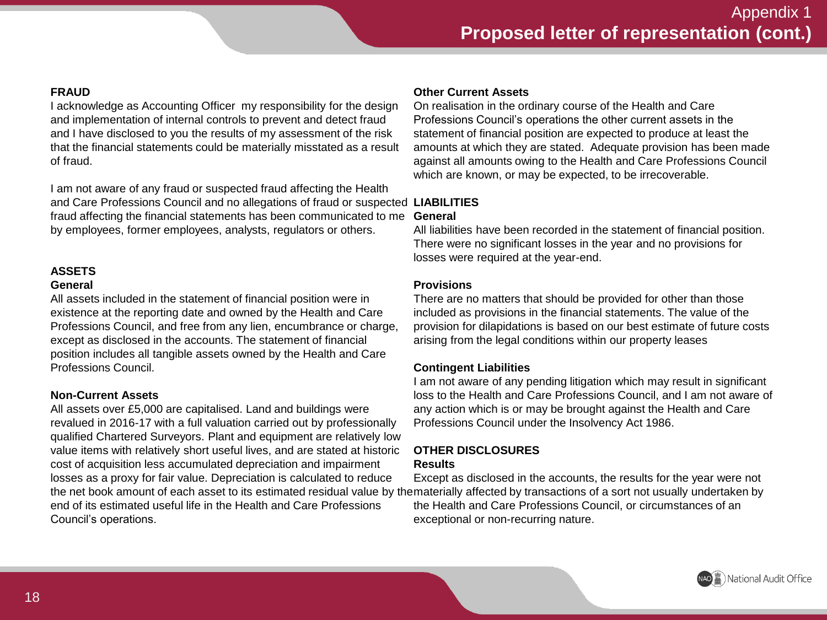#### **FRAUD**

I acknowledge as Accounting Officer my responsibility for the design and implementation of internal controls to prevent and detect fraud and I have disclosed to you the results of my assessment of the risk that the financial statements could be materially misstated as a result of fraud.

I am not aware of any fraud or suspected fraud affecting the Health and Care Professions Council and no allegations of fraud or suspected **LIABILITIES** fraud affecting the financial statements has been communicated to me **General** by employees, former employees, analysts, regulators or others.

#### **ASSETS**

#### **General**

All assets included in the statement of financial position were in existence at the reporting date and owned by the Health and Care Professions Council, and free from any lien, encumbrance or charge, except as disclosed in the accounts. The statement of financial position includes all tangible assets owned by the Health and Care Professions Council.

#### **Non-Current Assets**

All assets over £5,000 are capitalised. Land and buildings were revalued in 2016-17 with a full valuation carried out by professionally qualified Chartered Surveyors. Plant and equipment are relatively low value items with relatively short useful lives, and are stated at historic cost of acquisition less accumulated depreciation and impairment losses as a proxy for fair value. Depreciation is calculated to reduce end of its estimated useful life in the Health and Care Professions Council's operations.

#### **Other Current Assets**

On realisation in the ordinary course of the Health and Care Professions Council's operations the other current assets in the statement of financial position are expected to produce at least the amounts at which they are stated. Adequate provision has been made against all amounts owing to the Health and Care Professions Council which are known, or may be expected, to be irrecoverable.

All liabilities have been recorded in the statement of financial position. There were no significant losses in the year and no provisions for losses were required at the year-end.

#### **Provisions**

There are no matters that should be provided for other than those included as provisions in the financial statements. The value of the provision for dilapidations is based on our best estimate of future costs arising from the legal conditions within our property leases

#### **Contingent Liabilities**

I am not aware of any pending litigation which may result in significant loss to the Health and Care Professions Council, and I am not aware of any action which is or may be brought against the Health and Care Professions Council under the Insolvency Act 1986.

#### **OTHER DISCLOSURES**

#### **Results**

the net book amount of each asset to its estimated residual value by thematerially affected by transactions of a sort not usually undertaken by Except as disclosed in the accounts, the results for the year were not the Health and Care Professions Council, or circumstances of an exceptional or non-recurring nature.

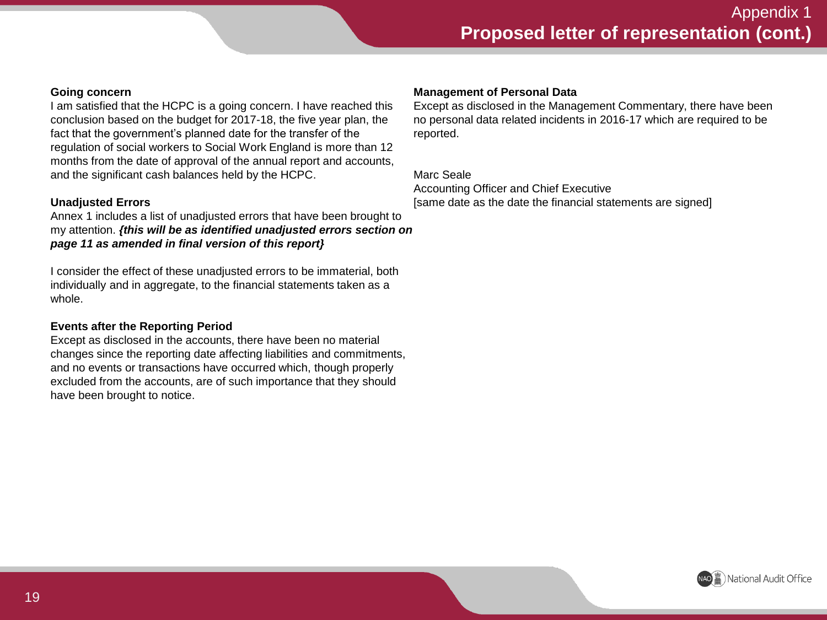#### **Going concern**

I am satisfied that the HCPC is a going concern. I have reached this conclusion based on the budget for 2017-18, the five year plan, the fact that the government's planned date for the transfer of the regulation of social workers to Social Work England is more than 12 months from the date of approval of the annual report and accounts, and the significant cash balances held by the HCPC.

#### **Unadjusted Errors**

Annex 1 includes a list of unadjusted errors that have been brought to my attention. *{this will be as identified unadjusted errors section on page 11 as amended in final version of this report}*

I consider the effect of these unadjusted errors to be immaterial, both individually and in aggregate, to the financial statements taken as a whole.

#### **Events after the Reporting Period**

Except as disclosed in the accounts, there have been no material changes since the reporting date affecting liabilities and commitments, and no events or transactions have occurred which, though properly excluded from the accounts, are of such importance that they should have been brought to notice.

#### **Management of Personal Data**

Except as disclosed in the Management Commentary, there have been no personal data related incidents in 2016-17 which are required to be reported.

Marc Seale Accounting Officer and Chief Executive [same date as the date the financial statements are signed]

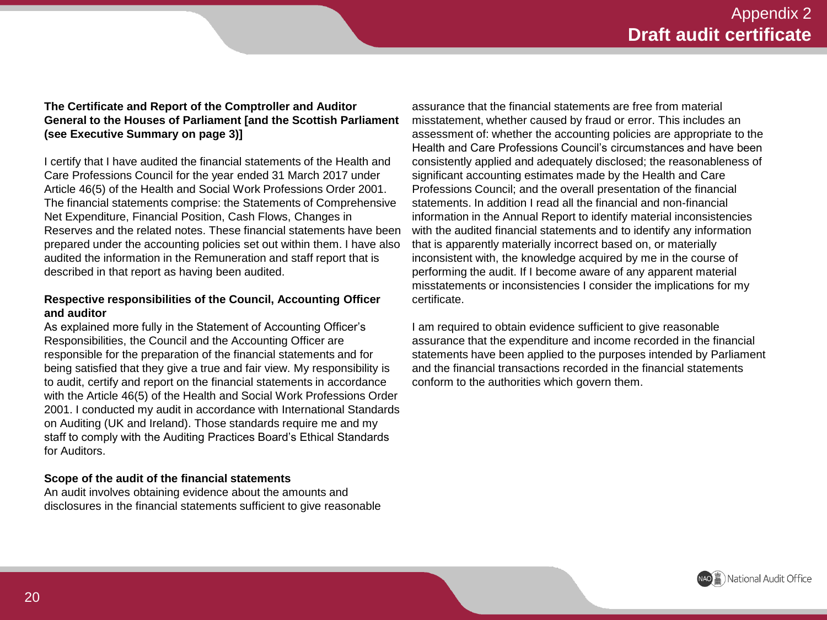#### **The Certificate and Report of the Comptroller and Auditor General to the Houses of Parliament [and the Scottish Parliament (see Executive Summary on page 3)]**

I certify that I have audited the financial statements of the Health and Care Professions Council for the year ended 31 March 2017 under Article 46(5) of the Health and Social Work Professions Order 2001. The financial statements comprise: the Statements of Comprehensive Net Expenditure, Financial Position, Cash Flows, Changes in Reserves and the related notes. These financial statements have been prepared under the accounting policies set out within them. I have also audited the information in the Remuneration and staff report that is described in that report as having been audited.

#### **Respective responsibilities of the Council, Accounting Officer and auditor**

As explained more fully in the Statement of Accounting Officer's Responsibilities, the Council and the Accounting Officer are responsible for the preparation of the financial statements and for being satisfied that they give a true and fair view. My responsibility is to audit, certify and report on the financial statements in accordance with the Article 46(5) of the Health and Social Work Professions Order 2001. I conducted my audit in accordance with International Standards on Auditing (UK and Ireland). Those standards require me and my staff to comply with the Auditing Practices Board's Ethical Standards for Auditors.

#### **Scope of the audit of the financial statements**

An audit involves obtaining evidence about the amounts and disclosures in the financial statements sufficient to give reasonable

assurance that the financial statements are free from material misstatement, whether caused by fraud or error. This includes an assessment of: whether the accounting policies are appropriate to the Health and Care Professions Council's circumstances and have been consistently applied and adequately disclosed; the reasonableness of significant accounting estimates made by the Health and Care Professions Council; and the overall presentation of the financial statements. In addition I read all the financial and non-financial information in the Annual Report to identify material inconsistencies with the audited financial statements and to identify any information that is apparently materially incorrect based on, or materially inconsistent with, the knowledge acquired by me in the course of performing the audit. If I become aware of any apparent material misstatements or inconsistencies I consider the implications for my certificate.

I am required to obtain evidence sufficient to give reasonable assurance that the expenditure and income recorded in the financial statements have been applied to the purposes intended by Parliament and the financial transactions recorded in the financial statements conform to the authorities which govern them.

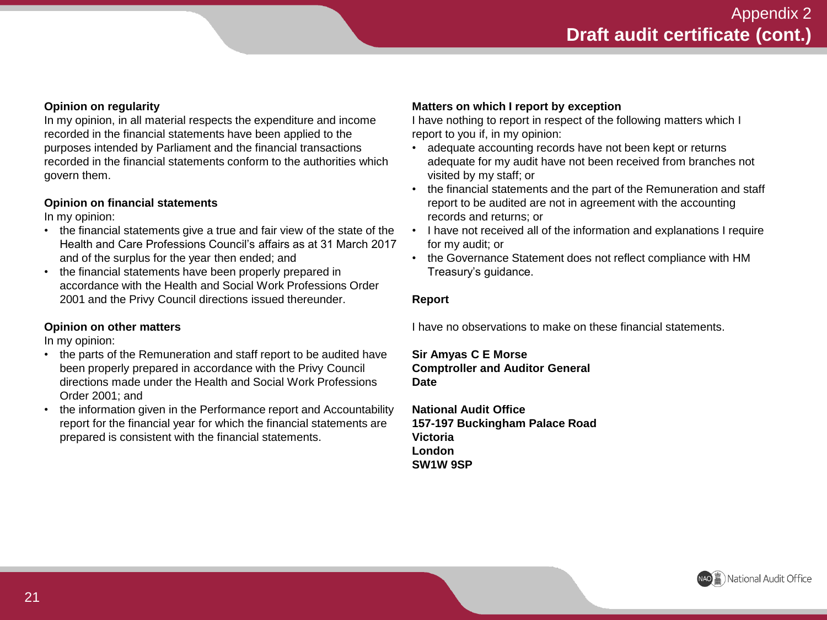#### **Opinion on regularity**

In my opinion, in all material respects the expenditure and income recorded in the financial statements have been applied to the purposes intended by Parliament and the financial transactions recorded in the financial statements conform to the authorities which govern them.

#### **Opinion on financial statements**

In my opinion:

- the financial statements give a true and fair view of the state of the Health and Care Professions Council's affairs as at 31 March 2017 and of the surplus for the year then ended; and
- the financial statements have been properly prepared in accordance with the Health and Social Work Professions Order 2001 and the Privy Council directions issued thereunder.

#### **Opinion on other matters**

In my opinion:

- the parts of the Remuneration and staff report to be audited have been properly prepared in accordance with the Privy Council directions made under the Health and Social Work Professions Order 2001; and
- the information given in the Performance report and Accountability report for the financial year for which the financial statements are prepared is consistent with the financial statements.

#### **Matters on which I report by exception**

I have nothing to report in respect of the following matters which I report to you if, in my opinion:

- adequate accounting records have not been kept or returns adequate for my audit have not been received from branches not visited by my staff; or
- the financial statements and the part of the Remuneration and staff report to be audited are not in agreement with the accounting records and returns; or
- I have not received all of the information and explanations I require for my audit; or
- the Governance Statement does not reflect compliance with HM Treasury's guidance.

#### **Report**

I have no observations to make on these financial statements.

#### **Sir Amyas C E Morse Comptroller and Auditor General Date**

**National Audit Office 157-197 Buckingham Palace Road Victoria London SW1W 9SP**